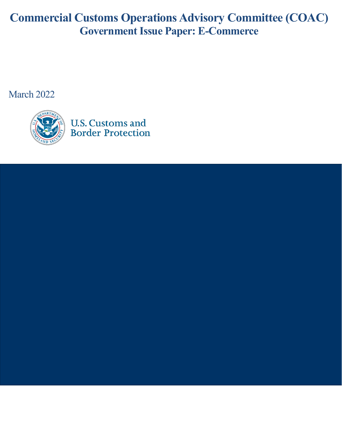# **Commercial Customs Operations Advisory Committee (COAC) Government Issue Paper: E-Commerce**

March 2022